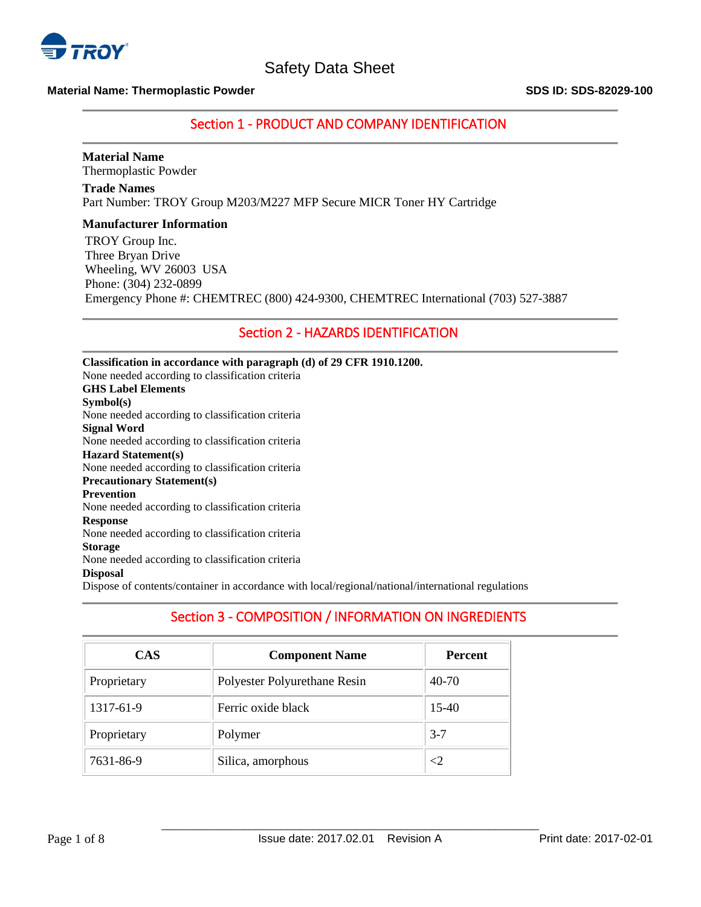

## **Material Name: Thermoplastic Powder SDS ID: SDS-82029-100**

## Section 1 - PRODUCT AND COMPANY IDENTIFICATION

# **Material Name**

Thermoplastic Powder

**Trade Names** Part Number: TROY Group M203/M227 MFP Secure MICR Toner HY Cartridge

## **Manufacturer Information**

TROY Group Inc. Three Bryan Drive Wheeling, WV 26003 USA Phone: (304) 232-0899 Emergency Phone #: CHEMTREC (800) 424-9300, CHEMTREC International (703) 527-3887

## Section 2 - HAZARDS IDENTIFICATION

**Classification in accordance with paragraph (d) of 29 CFR 1910.1200.** None needed according to classification criteria **GHS Label Elements Symbol(s)** None needed according to classification criteria **Signal Word** None needed according to classification criteria **Hazard Statement(s)** None needed according to classification criteria **Precautionary Statement(s) Prevention** None needed according to classification criteria **Response** None needed according to classification criteria **Storage** None needed according to classification criteria **Disposal** Dispose of contents/container in accordance with local/regional/national/international regulations

## Section 3 - COMPOSITION / INFORMATION ON INGREDIENTS

| <b>CAS</b>  | <b>Component Name</b>        | <b>Percent</b> |
|-------------|------------------------------|----------------|
| Proprietary | Polyester Polyurethane Resin | 40-70          |
| 1317-61-9   | Ferric oxide black           | $15-40$        |
| Proprietary | Polymer                      | $3 - 7$        |
| 7631-86-9   | Silica, amorphous            | $\leq$ 2       |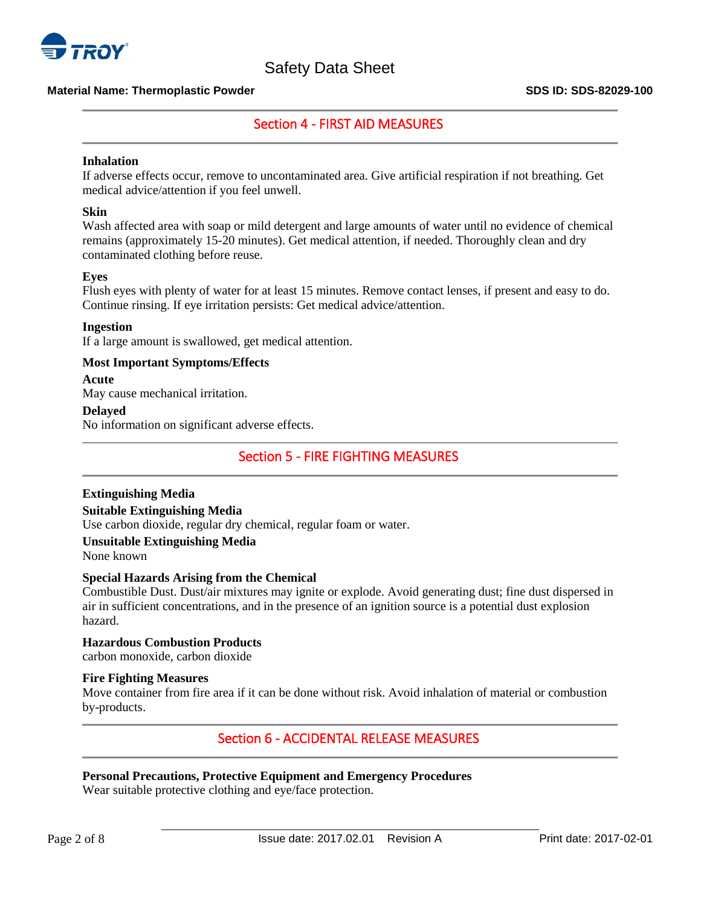

## **Material Name: Thermoplastic Powder SDS ID: SDS-82029-100**

## Section 4 - FIRST AID MEASURES

## **Inhalation**

If adverse effects occur, remove to uncontaminated area. Give artificial respiration if not breathing. Get medical advice/attention if you feel unwell.

## **Skin**

Wash affected area with soap or mild detergent and large amounts of water until no evidence of chemical remains (approximately 15-20 minutes). Get medical attention, if needed. Thoroughly clean and dry contaminated clothing before reuse.

## **Eyes**

Flush eyes with plenty of water for at least 15 minutes. Remove contact lenses, if present and easy to do. Continue rinsing. If eye irritation persists: Get medical advice/attention.

## **Ingestion**

If a large amount is swallowed, get medical attention.

## **Most Important Symptoms/Effects**

## **Acute**

May cause mechanical irritation.

## **Delayed**

No information on significant adverse effects.

## Section 5 - FIRE FIGHTING MEASURES

## **Extinguishing Media**

## **Suitable Extinguishing Media**

Use carbon dioxide, regular dry chemical, regular foam or water.

## **Unsuitable Extinguishing Media**

None known

## **Special Hazards Arising from the Chemical**

Combustible Dust. Dust/air mixtures may ignite or explode. Avoid generating dust; fine dust dispersed in air in sufficient concentrations, and in the presence of an ignition source is a potential dust explosion hazard.

#### **Hazardous Combustion Products** carbon monoxide, carbon dioxide

## **Fire Fighting Measures**

Move container from fire area if it can be done without risk. Avoid inhalation of material or combustion by-products.

## Section 6 - ACCIDENTAL RELEASE MEASURES

## **Personal Precautions, Protective Equipment and Emergency Procedures**

Wear suitable protective clothing and eye/face protection.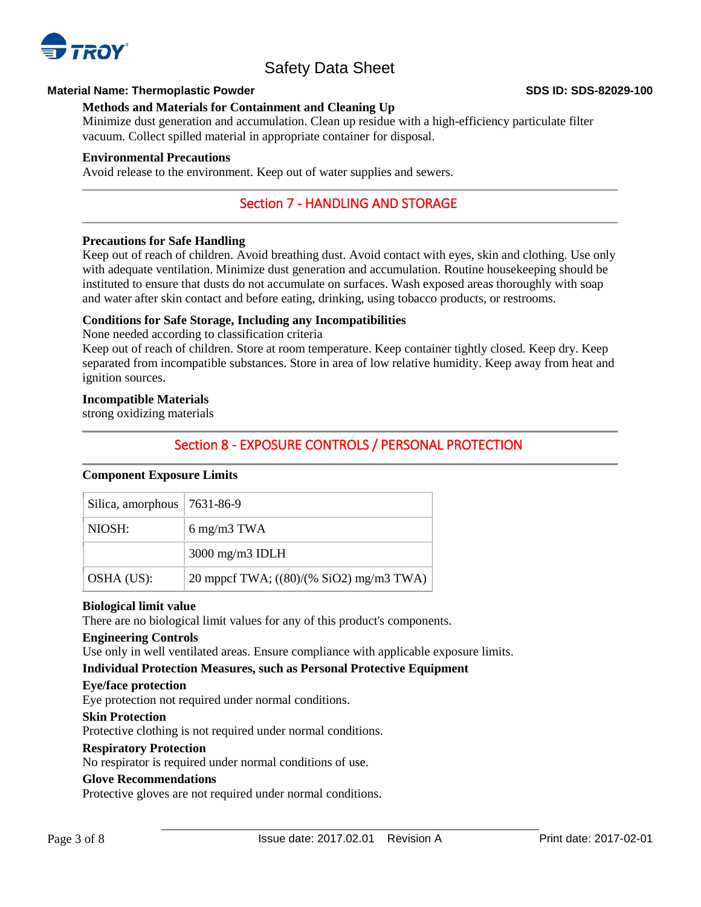

## **Material Name: Thermoplastic Powder SDS ID: SDS-82029-100**

## **Methods and Materials for Containment and Cleaning Up**

Minimize dust generation and accumulation. Clean up residue with a high-efficiency particulate filter vacuum. Collect spilled material in appropriate container for disposal.

## **Environmental Precautions**

Avoid release to the environment. Keep out of water supplies and sewers.

## Section 7 - HANDLING AND STORAGE

## **Precautions for Safe Handling**

Keep out of reach of children. Avoid breathing dust. Avoid contact with eyes, skin and clothing. Use only with adequate ventilation. Minimize dust generation and accumulation. Routine housekeeping should be instituted to ensure that dusts do not accumulate on surfaces. Wash exposed areas thoroughly with soap and water after skin contact and before eating, drinking, using tobacco products, or restrooms.

## **Conditions for Safe Storage, Including any Incompatibilities**

None needed according to classification criteria

Keep out of reach of children. Store at room temperature. Keep container tightly closed. Keep dry. Keep separated from incompatible substances. Store in area of low relative humidity. Keep away from heat and ignition sources.

## **Incompatible Materials**

strong oxidizing materials

## Section 8 - EXPOSURE CONTROLS / PERSONAL PROTECTION

## **Component Exposure Limits**

| Silica, amorphous $ 7631-86-9$ |                                         |
|--------------------------------|-----------------------------------------|
| NIOSH:                         | $6 \text{ mg/m}3 \text{ TWA}$           |
|                                | 3000 mg/m3 IDLH                         |
| OSHA (US):                     | 20 mppcf TWA; ((80)/(% SiO2) mg/m3 TWA) |

## **Biological limit value**

There are no biological limit values for any of this product's components.

## **Engineering Controls**

Use only in well ventilated areas. Ensure compliance with applicable exposure limits.

## **Individual Protection Measures, such as Personal Protective Equipment**

## **Eye/face protection**

Eye protection not required under normal conditions.

## **Skin Protection**

Protective clothing is not required under normal conditions.

## **Respiratory Protection**

No respirator is required under normal conditions of use.

## **Glove Recommendations**

Protective gloves are not required under normal conditions.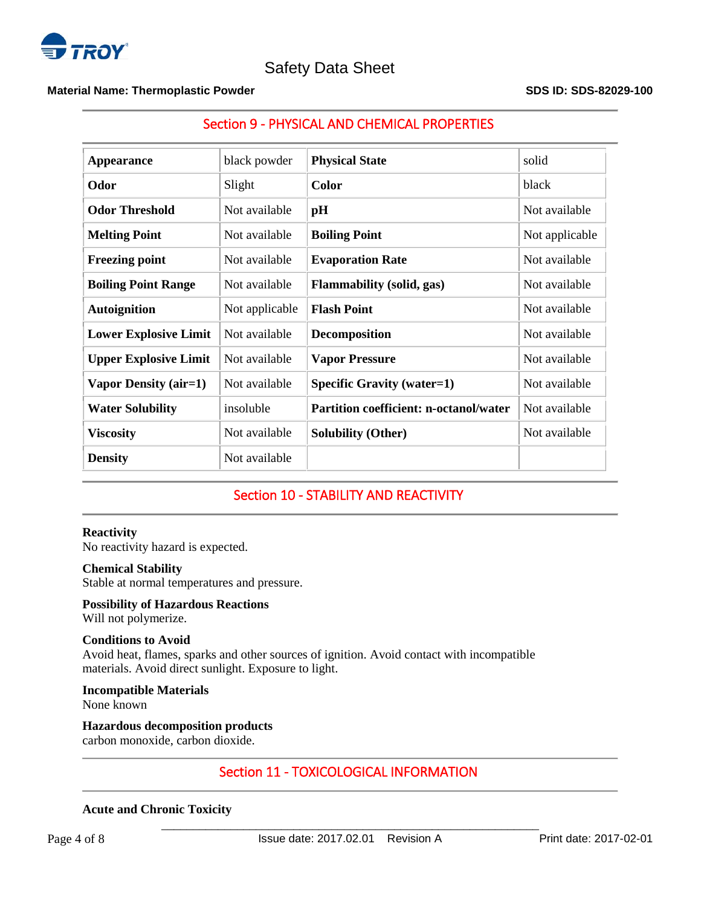

## **Material Name: Thermoplastic Powder SDS ID: SDS-82029-100**

## Section 9 - PHYSICAL AND CHEMICAL PROPERTIES

| <b>Appearance</b>            | black powder   | <b>Physical State</b>                         | solid          |
|------------------------------|----------------|-----------------------------------------------|----------------|
| Odor                         | Slight         | <b>Color</b>                                  | black          |
| <b>Odor Threshold</b>        | Not available  | pH                                            | Not available  |
| <b>Melting Point</b>         | Not available  | <b>Boiling Point</b>                          | Not applicable |
| <b>Freezing point</b>        | Not available  | <b>Evaporation Rate</b>                       | Not available  |
| <b>Boiling Point Range</b>   | Not available  | <b>Flammability</b> (solid, gas)              | Not available  |
| <b>Autoignition</b>          | Not applicable | <b>Flash Point</b>                            | Not available  |
| <b>Lower Explosive Limit</b> | Not available  | <b>Decomposition</b>                          | Not available  |
| <b>Upper Explosive Limit</b> | Not available  | <b>Vapor Pressure</b>                         | Not available  |
| <b>Vapor Density (air=1)</b> | Not available  | <b>Specific Gravity (water=1)</b>             | Not available  |
| <b>Water Solubility</b>      | insoluble      | <b>Partition coefficient: n-octanol/water</b> | Not available  |
| <b>Viscosity</b>             | Not available  | <b>Solubility (Other)</b>                     | Not available  |
| <b>Density</b>               | Not available  |                                               |                |

## Section 10 - STABILITY AND REACTIVITY

## **Reactivity**

No reactivity hazard is expected.

## **Chemical Stability**

Stable at normal temperatures and pressure.

## **Possibility of Hazardous Reactions**

Will not polymerize.

## **Conditions to Avoid**

Avoid heat, flames, sparks and other sources of ignition. Avoid contact with incompatible materials. Avoid direct sunlight. Exposure to light.

#### **Incompatible Materials**

None known

## **Hazardous decomposition products**

carbon monoxide, carbon dioxide.

## Section 11 - TOXICOLOGICAL INFORMATION

## **Acute and Chronic Toxicity**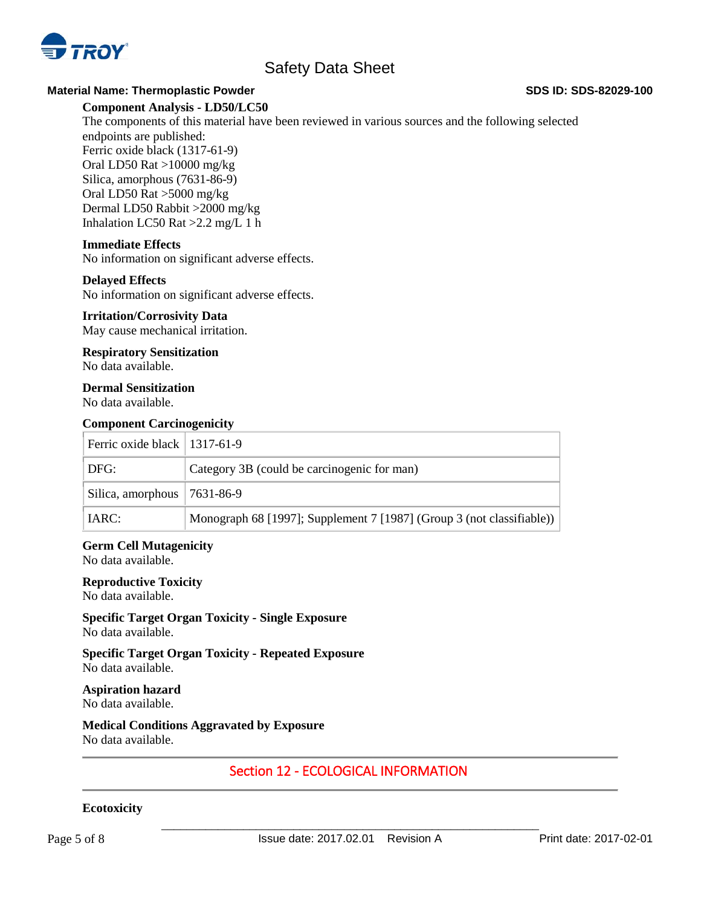

## **Material Name: Thermoplastic Powder SDS ID: SDS-82029-100**

## **Component Analysis - LD50/LC50**

The components of this material have been reviewed in various sources and the following selected endpoints are published: Ferric oxide black (1317-61-9) Oral LD50 Rat >10000 mg/kg

Silica, amorphous (7631-86-9) Oral LD50 Rat >5000 mg/kg Dermal LD50 Rabbit >2000 mg/kg Inhalation LC50 Rat >2.2 mg/L 1 h

## **Immediate Effects**

No information on significant adverse effects.

## **Delayed Effects**

No information on significant adverse effects.

## **Irritation/Corrosivity Data**

May cause mechanical irritation.

## **Respiratory Sensitization**

No data available.

## **Dermal Sensitization**

No data available.

## **Component Carcinogenicity**

| Ferric oxide black $\vert$ 1317-61-9 |                                                                       |
|--------------------------------------|-----------------------------------------------------------------------|
| DFG:                                 | Category 3B (could be carcinogenic for man)                           |
| Silica, amorphous $ 7631-86-9$       |                                                                       |
| $\vert$ IARC:                        | Monograph 68 [1997]; Supplement 7 [1987] (Group 3 (not classifiable)) |

## **Germ Cell Mutagenicity**

No data available.

## **Reproductive Toxicity**

No data available.

**Specific Target Organ Toxicity - Single Exposure** No data available.

**Specific Target Organ Toxicity - Repeated Exposure** No data available.

#### **Aspiration hazard** No data available.

**Medical Conditions Aggravated by Exposure** No data available.

## Section 12 - ECOLOGICAL INFORMATION

## **Ecotoxicity**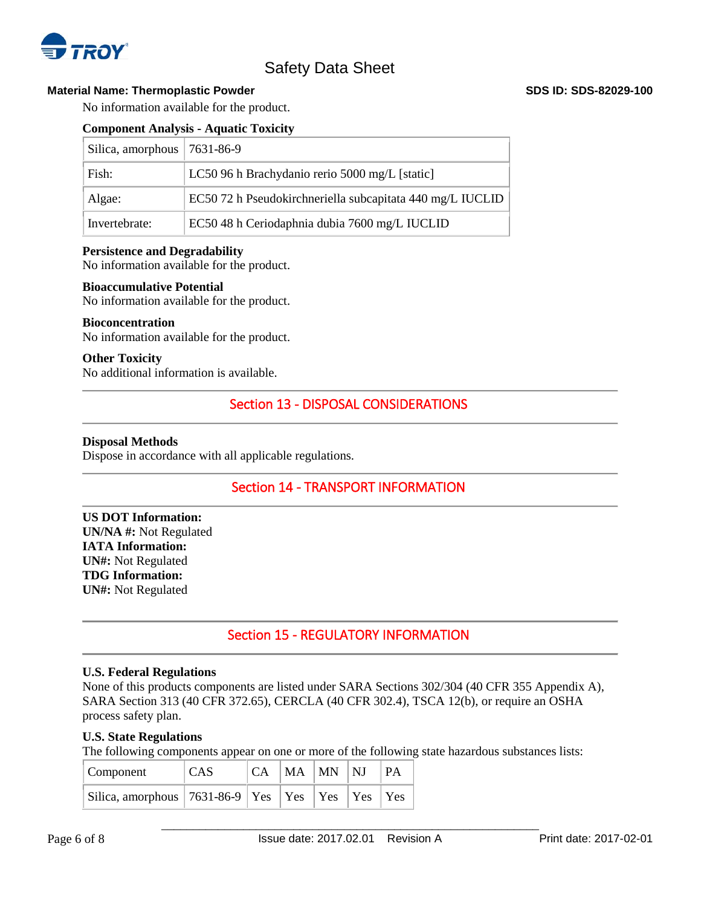

## **Material Name: Thermoplastic Powder <b>SDS** ID: SDS-82029-100

No information available for the product.

## **Component Analysis - Aquatic Toxicity**

| Silica, amorphous   $7631-86-9$ |                                                           |
|---------------------------------|-----------------------------------------------------------|
| Fish:                           | LC50 96 h Brachydanio rerio 5000 mg/L [static]            |
| Algae:                          | EC50 72 h Pseudokirchneriella subcapitata 440 mg/L IUCLID |
| Invertebrate:                   | EC50 48 h Ceriodaphnia dubia 7600 mg/L IUCLID             |

## **Persistence and Degradability**

No information available for the product.

#### **Bioaccumulative Potential**

No information available for the product.

#### **Bioconcentration**

No information available for the product.

## **Other Toxicity**

No additional information is available.

## Section 13 - DISPOSAL CONSIDERATIONS

#### **Disposal Methods**

Dispose in accordance with all applicable regulations.

## Section 14 - TRANSPORT INFORMATION

**US DOT Information: UN/NA #:** Not Regulated **IATA Information: UN#:** Not Regulated **TDG Information: UN#:** Not Regulated

## Section 15 - REGULATORY INFORMATION

#### **U.S. Federal Regulations**

None of this products components are listed under SARA Sections 302/304 (40 CFR 355 Appendix A), SARA Section 313 (40 CFR 372.65), CERCLA (40 CFR 302.4), TSCA 12(b), or require an OSHA process safety plan.

## **U.S. State Regulations**

The following components appear on one or more of the following state hazardous substances lists:

| Component                                                   | <b>CAS</b> |  | CA MA MN NJ | PA |
|-------------------------------------------------------------|------------|--|-------------|----|
| Silica, amorphous   7631-86-9   Yes   Yes   Yes   Yes   Yes |            |  |             |    |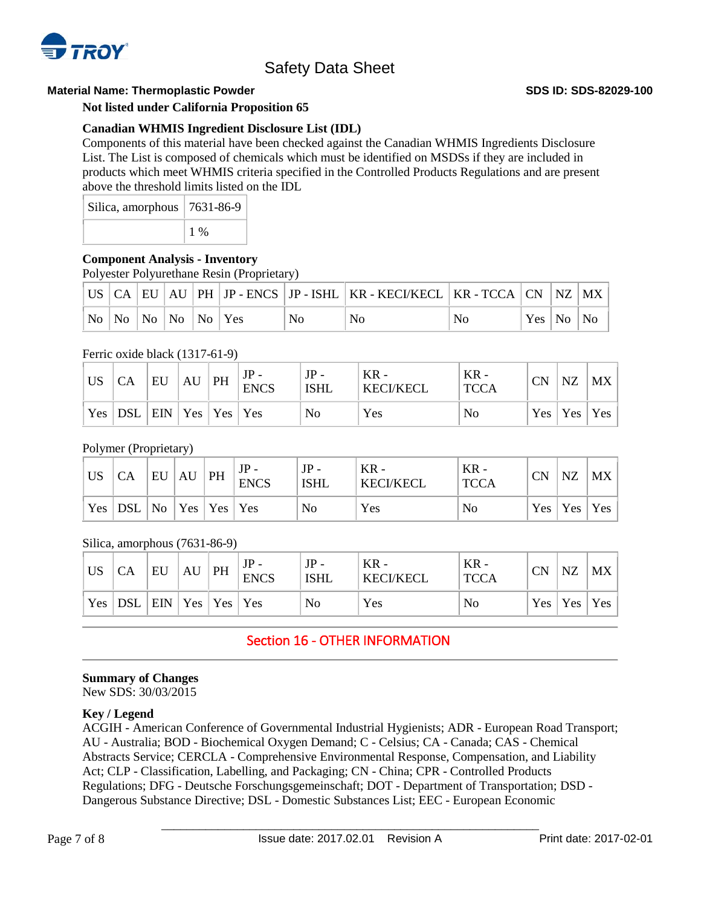

## **Material Name: Thermoplastic Powder SDS ID: SDS-82029-100**

**Not listed under California Proposition 65**

## **Canadian WHMIS Ingredient Disclosure List (IDL)**

Components of this material have been checked against the Canadian WHMIS Ingredients Disclosure List. The List is composed of chemicals which must be identified on MSDSs if they are included in products which meet WHMIS criteria specified in the Controlled Products Regulations and are present above the threshold limits listed on the IDL

| Silica, amorphous   7631-86-9 |       |
|-------------------------------|-------|
|                               | $1\%$ |

## **Component Analysis - Inventory**

Polyester Polyurethane Resin (Proprietary)

|  |                                                                                                                                   |  |    | US    CA    EU    AU    PH    JP - ENCS    JP - ISHL    KR - KECI/KECL    KR - TCCA    CN    NZ    MX |    |               |  |
|--|-----------------------------------------------------------------------------------------------------------------------------------|--|----|-------------------------------------------------------------------------------------------------------|----|---------------|--|
|  | $\overline{N_0}$ $\overline{N_0}$ $\overline{N_0}$ $\overline{N_0}$ $\overline{N_0}$ $\overline{Y}$ $\overline{Y}$ $\overline{S}$ |  | No | No                                                                                                    | No | Yes   No   No |  |

## Ferric oxide black (1317-61-9)

| <b>US</b> | CA         | EU                              | AU | PH | $JP -$<br><b>ENCS</b> | $JP -$<br><b>ISHL</b> | $KR -$<br><b>KECI/KECL</b> | $KR -$<br><b>TCCA</b> | <b>CN</b> | NZ             | <b>MX</b> |
|-----------|------------|---------------------------------|----|----|-----------------------|-----------------------|----------------------------|-----------------------|-----------|----------------|-----------|
| Yes       | <b>DSL</b> | $ $ EIN $ $ Yes $ $ Yes $ $ Yes |    |    |                       | No                    | Yes                        | No                    |           | $Yes \mid Yes$ | Yes       |

## Polymer (Proprietary)

| <b>US</b> | <b>CA</b>                                                              | EU | AU | PH | <b>ENCS</b> | $JP -$<br>ISHL | $KR -$<br><b>KECI/KECL</b> | ` KR -<br><b>TCCA</b> | CN | NZ              | MX |
|-----------|------------------------------------------------------------------------|----|----|----|-------------|----------------|----------------------------|-----------------------|----|-----------------|----|
|           | $\vert$ Yes $\vert$ DSL $\vert$ No $\vert$ Yes $\vert$ Yes $\vert$ Yes |    |    |    |             | N <sub>o</sub> | Yes                        | No                    |    | Yes   Yes   Yes |    |

## Silica, amorphous (7631-86-9)

| <b>US</b> | CA        | EU                 | AU | PH | $JP -$<br><b>ENCS</b> | $JP -$<br><b>ISHL</b> | $KR -$<br><b>KECI/KECL</b> | $KR -$<br><b>TCCA</b> | <b>CN</b> | <b>NZ</b>       | MX |
|-----------|-----------|--------------------|----|----|-----------------------|-----------------------|----------------------------|-----------------------|-----------|-----------------|----|
|           | $Yes$ DSL | $ ENN Yes Yes Yes$ |    |    |                       | N <sub>0</sub>        | Yes                        | No                    |           | Yes   Yes   Yes |    |

# Section 16 - OTHER INFORMATION

## **Summary of Changes**

New SDS: 30/03/2015

## **Key / Legend**

ACGIH - American Conference of Governmental Industrial Hygienists; ADR - European Road Transport; AU - Australia; BOD - Biochemical Oxygen Demand; C - Celsius; CA - Canada; CAS - Chemical Abstracts Service; CERCLA - Comprehensive Environmental Response, Compensation, and Liability Act; CLP - Classification, Labelling, and Packaging; CN - China; CPR - Controlled Products Regulations; DFG - Deutsche Forschungsgemeinschaft; DOT - Department of Transportation; DSD - Dangerous Substance Directive; DSL - Domestic Substances List; EEC - European Economic